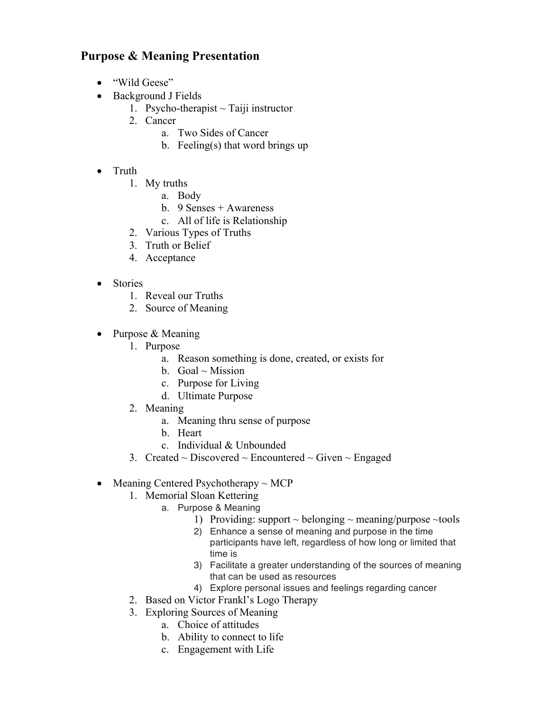## **Purpose & Meaning Presentation**

- "Wild Geese"
- Background J Fields
	- 1. Psycho-therapist  $\sim$  Taiji instructor
	- 2. Cancer
		- a. Two Sides of Cancer
		- b. Feeling(s) that word brings up
- Truth
	- 1. My truths
		- a. Body
		- b. 9 Senses + Awareness
		- c. All of life is Relationship
	- 2. Various Types of Truths
	- 3. Truth or Belief
	- 4. Acceptance
- Stories
	- 1. Reveal our Truths
	- 2. Source of Meaning
- Purpose & Meaning
	- 1. Purpose
		- a. Reason something is done, created, or exists for
		- b. Goal  $\sim$  Mission
		- c. Purpose for Living
		- d. Ultimate Purpose
	- 2. Meaning
		- a. Meaning thru sense of purpose
		- b. Heart
		- c. Individual & Unbounded
	- 3. Created  $\sim$  Discovered  $\sim$  Encountered  $\sim$  Given  $\sim$  Engaged
- Meaning Centered Psychotherapy  $\sim MCP$ 
	- 1. Memorial Sloan Kettering
		- a. Purpose & Meaning
			- 1) Providing: support  $\sim$  belonging  $\sim$  meaning/purpose  $\sim$  tools
			- 2) Enhance a sense of meaning and purpose in the time participants have left, regardless of how long or limited that time is
			- 3) Facilitate a greater understanding of the sources of meaning that can be used as resources
			- 4) Explore personal issues and feelings regarding cancer
	- 2. Based on Victor Frankl's Logo Therapy
	- 3. Exploring Sources of Meaning
		- a. Choice of attitudes
		- b. Ability to connect to life
		- c. Engagement with Life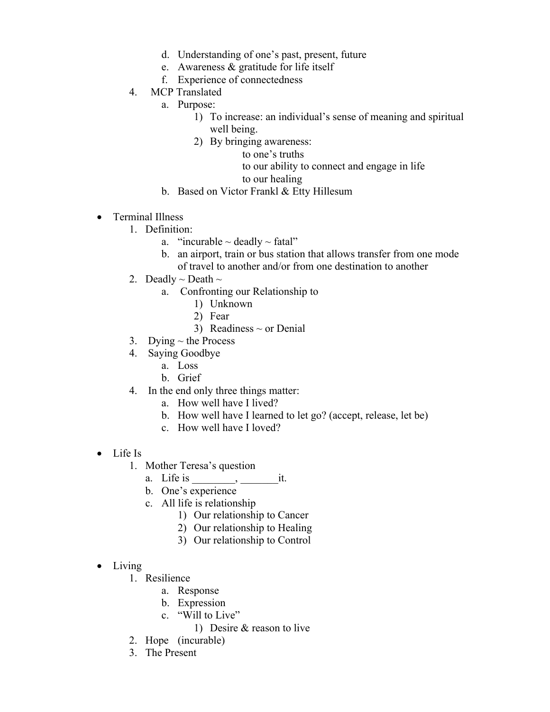- d. Understanding of one's past, present, future
- e. Awareness & gratitude for life itself
- f. Experience of connectedness
- 4. MCP Translated
	- a. Purpose:
		- 1) To increase: an individual's sense of meaning and spiritual well being.
		- 2) By bringing awareness:
			- to one's truths
			- to our ability to connect and engage in life

## to our healing

- b. Based on Victor Frankl & Etty Hillesum
- Terminal Illness
	- 1. Definition:
		- a. "incurable  $\sim$  deadly  $\sim$  fatal"
		- b. an airport, train or bus station that allows transfer from one mode of travel to another and/or from one destination to another
	- 2. Deadly  $\sim$  Death  $\sim$ 
		- a. Confronting our Relationship to
			- 1) Unknown
			- 2) Fear
			- 3) Readiness  $\sim$  or Denial
	- 3. Dying  $\sim$  the Process
	- 4. Saying Goodbye
		- a. Loss
		- b. Grief
	- 4. In the end only three things matter:
		- a. How well have I lived?
		- b. How well have I learned to let go? (accept, release, let be)
		- c. How well have I loved?
- Life Is
	- 1. Mother Teresa's question
		- a. Life is \_\_\_\_\_\_\_\_, \_\_\_\_\_\_\_it.
		- b. One's experience
		- c. All life is relationship
			- 1) Our relationship to Cancer
			- 2) Our relationship to Healing
			- 3) Our relationship to Control
- Living
	- 1. Resilience
		- a. Response
		- b. Expression
		- c. "Will to Live"
			- 1) Desire & reason to live
	- 2. Hope (incurable)
	- 3. The Present